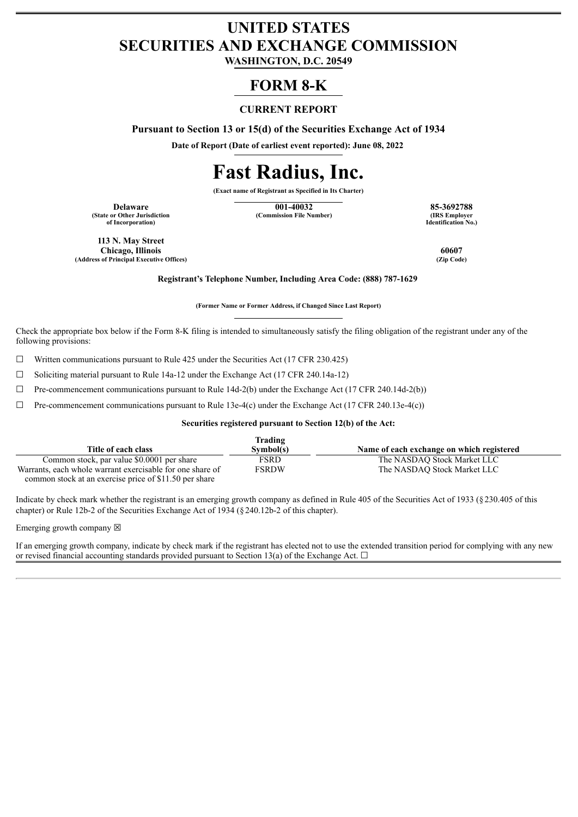## **UNITED STATES SECURITIES AND EXCHANGE COMMISSION**

**WASHINGTON, D.C. 20549**

## **FORM 8-K**

#### **CURRENT REPORT**

**Pursuant to Section 13 or 15(d) of the Securities Exchange Act of 1934**

**Date of Report (Date of earliest event reported): June 08, 2022**

# **Fast Radius, Inc.**

**(Exact name of Registrant as Specified in Its Charter)**

**(State or Other Jurisdiction of Incorporation)**

**Delaware 001-40032 85-3692788 (Commission File Number)** 

**Identification No.)**

**113 N. May Street Chicago, Illinois 60607 (Address of Principal Executive Offices) (Zip Code)**

**Registrant's Telephone Number, Including Area Code: (888) 787-1629**

**(Former Name or Former Address, if Changed Since Last Report)**

Check the appropriate box below if the Form 8-K filing is intended to simultaneously satisfy the filing obligation of the registrant under any of the following provisions:

 $\Box$  Written communications pursuant to Rule 425 under the Securities Act (17 CFR 230.425)

☐ Soliciting material pursuant to Rule 14a-12 under the Exchange Act (17 CFR 240.14a-12)

 $\Box$  Pre-commencement communications pursuant to Rule 14d-2(b) under the Exchange Act (17 CFR 240.14d-2(b))

 $\Box$  Pre-commencement communications pursuant to Rule 13e-4(c) under the Exchange Act (17 CFR 240.13e-4(c))

#### **Securities registered pursuant to Section 12(b) of the Act:**

|                                                           | Trading   |                                           |
|-----------------------------------------------------------|-----------|-------------------------------------------|
| Title of each class                                       | Symbol(s) | Name of each exchange on which registered |
| Common stock, par value \$0,0001 per share                | FSRD      | The NASDAO Stock Market LLC               |
| Warrants, each whole warrant exercisable for one share of | FSRDW     | The NASDAO Stock Market LLC               |
| common stock at an exercise price of \$11.50 per share    |           |                                           |

Indicate by check mark whether the registrant is an emerging growth company as defined in Rule 405 of the Securities Act of 1933 (§230.405 of this chapter) or Rule 12b-2 of the Securities Exchange Act of 1934 (§240.12b-2 of this chapter).

Emerging growth company  $\boxtimes$ 

If an emerging growth company, indicate by check mark if the registrant has elected not to use the extended transition period for complying with any new or revised financial accounting standards provided pursuant to Section 13(a) of the Exchange Act.  $\Box$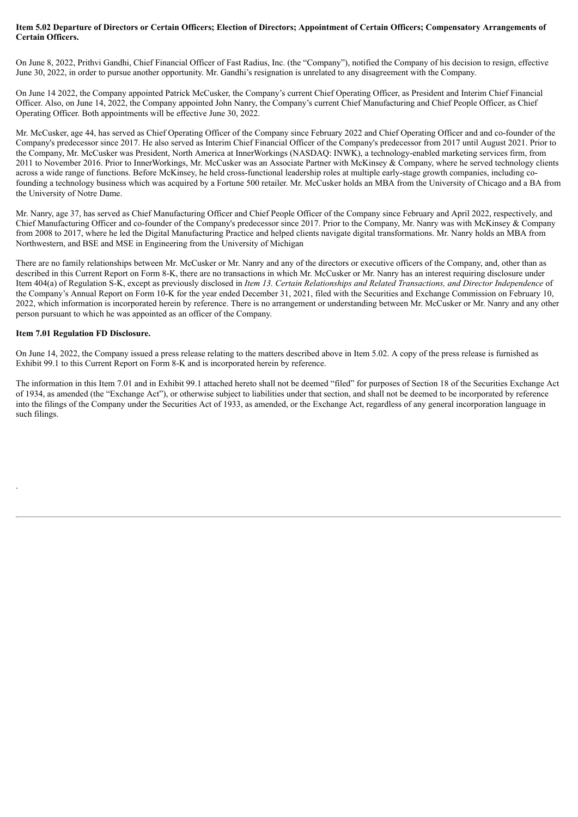#### Item 5.02 Departure of Directors or Certain Officers; Election of Directors; Appointment of Certain Officers; Compensatory Arrangements of **Certain Officers.**

On June 8, 2022, Prithvi Gandhi, Chief Financial Officer of Fast Radius, Inc. (the "Company"), notified the Company of his decision to resign, effective June 30, 2022, in order to pursue another opportunity. Mr. Gandhi's resignation is unrelated to any disagreement with the Company.

On June 14 2022, the Company appointed Patrick McCusker, the Company's current Chief Operating Officer, as President and Interim Chief Financial Officer. Also, on June 14, 2022, the Company appointed John Nanry, the Company's current Chief Manufacturing and Chief People Officer, as Chief Operating Officer. Both appointments will be effective June 30, 2022.

Mr. McCusker, age 44, has served as Chief Operating Officer of the Company since February 2022 and Chief Operating Officer and and co-founder of the Company's predecessor since 2017. He also served as Interim Chief Financial Officer of the Company's predecessor from 2017 until August 2021. Prior to the Company, Mr. McCusker was President, North America at InnerWorkings (NASDAQ: INWK), a technology-enabled marketing services firm, from 2011 to November 2016. Prior to InnerWorkings, Mr. McCusker was an Associate Partner with McKinsey & Company, where he served technology clients across a wide range of functions. Before McKinsey, he held cross-functional leadership roles at multiple early-stage growth companies, including cofounding a technology business which was acquired by a Fortune 500 retailer. Mr. McCusker holds an MBA from the University of Chicago and a BA from the University of Notre Dame.

Mr. Nanry, age 37, has served as Chief Manufacturing Officer and Chief People Officer of the Company since February and April 2022, respectively, and Chief Manufacturing Officer and co-founder of the Company's predecessor since 2017. Prior to the Company, Mr. Nanry was with McKinsey & Company from 2008 to 2017, where he led the Digital Manufacturing Practice and helped clients navigate digital transformations. Mr. Nanry holds an MBA from Northwestern, and BSE and MSE in Engineering from the University of Michigan

There are no family relationships between Mr. McCusker or Mr. Nanry and any of the directors or executive officers of the Company, and, other than as described in this Current Report on Form 8-K, there are no transactions in which Mr. McCusker or Mr. Nanry has an interest requiring disclosure under Item 404(a) of Regulation S-K, except as previously disclosed in *Item 13. Certain Relationships and Related Transactions, and Director Independence* of the Company's Annual Report on Form 10-K for the year ended December 31, 2021, filed with the Securities and Exchange Commission on February 10, 2022, which information is incorporated herein by reference. There is no arrangement or understanding between Mr. McCusker or Mr. Nanry and any other person pursuant to which he was appointed as an officer of the Company.

#### **Item 7.01 Regulation FD Disclosure.**

.

On June 14, 2022, the Company issued a press release relating to the matters described above in Item 5.02. A copy of the press release is furnished as Exhibit 99.1 to this Current Report on Form 8-K and is incorporated herein by reference.

The information in this Item 7.01 and in Exhibit 99.1 attached hereto shall not be deemed "filed" for purposes of Section 18 of the Securities Exchange Act of 1934, as amended (the "Exchange Act"), or otherwise subject to liabilities under that section, and shall not be deemed to be incorporated by reference into the filings of the Company under the Securities Act of 1933, as amended, or the Exchange Act, regardless of any general incorporation language in such filings.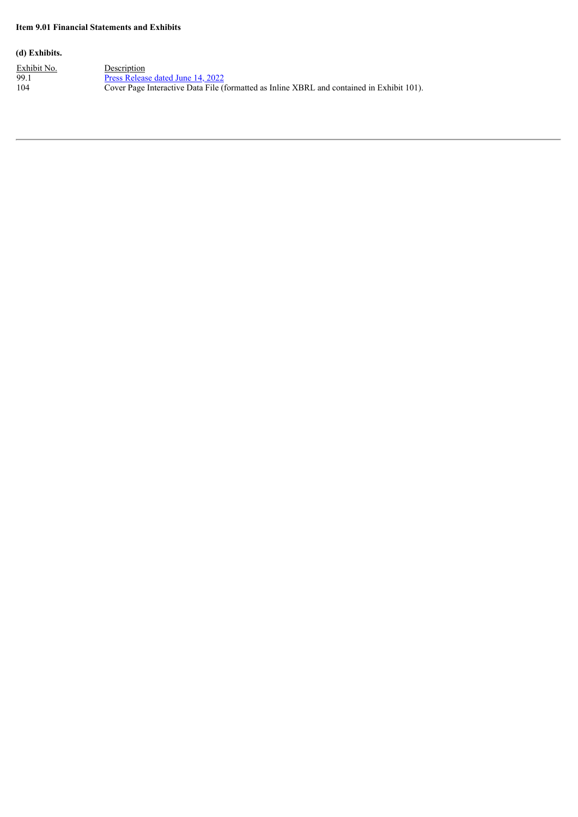#### **Item 9.01 Financial Statements and Exhibits**

#### **(d) Exhibits.**

Exhibit No. Description 99.1 **Press [Release](#page-4-0) dated June 14, 2022** 104 Cover Page Interactive Data File (formatted as Inline XBRL and contained in Exhibit 101).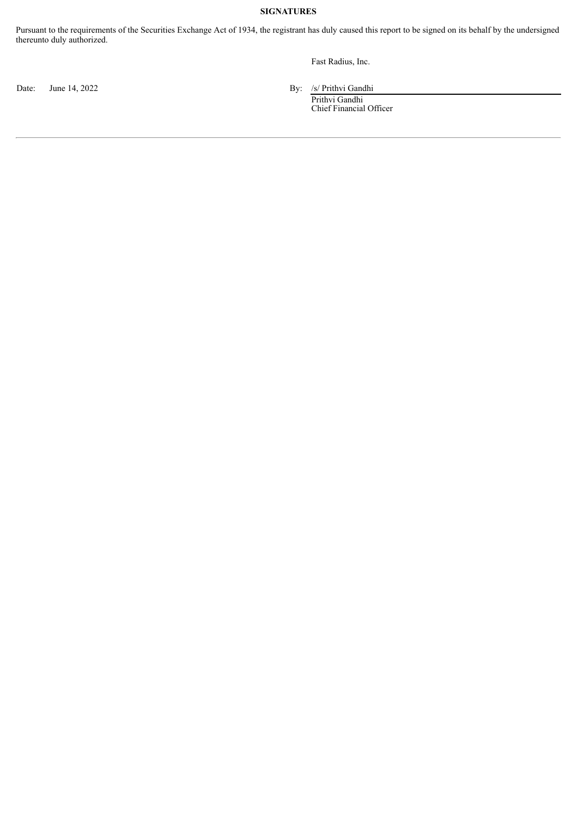#### **SIGNATURES**

Pursuant to the requirements of the Securities Exchange Act of 1934, the registrant has duly caused this report to be signed on its behalf by the undersigned thereunto duly authorized.

Fast Radius, Inc.

Date: June 14, 2022 By: /s/ Prithvi Gandhi

Prithvi Gandhi Chief Financial Officer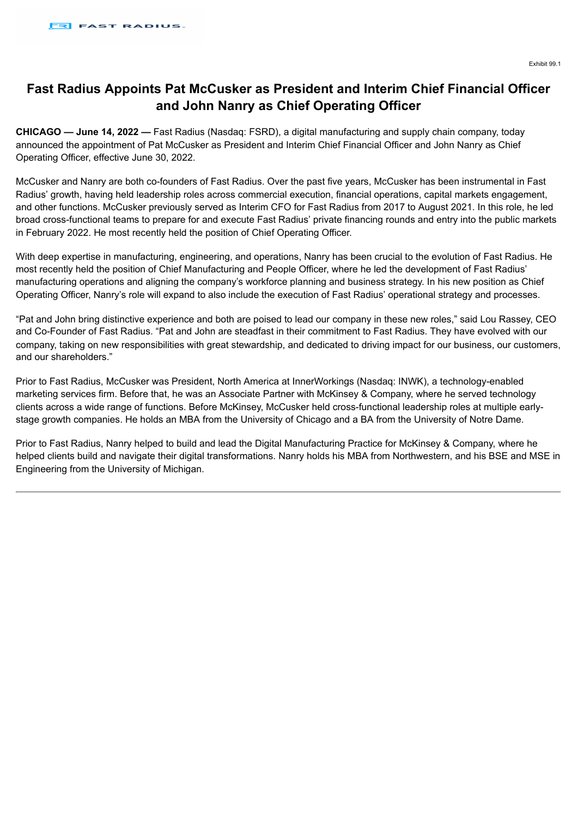### <span id="page-4-0"></span>**Fast Radius Appoints Pat McCusker as President and Interim Chief Financial Officer and John Nanry as Chief Operating Officer**

**CHICAGO — June 14, 2022 —** Fast Radius (Nasdaq: FSRD), a digital manufacturing and supply chain company, today announced the appointment of Pat McCusker as President and Interim Chief Financial Officer and John Nanry as Chief Operating Officer, effective June 30, 2022.

McCusker and Nanry are both co-founders of Fast Radius. Over the past five years, McCusker has been instrumental in Fast Radius' growth, having held leadership roles across commercial execution, financial operations, capital markets engagement, and other functions. McCusker previously served as Interim CFO for Fast Radius from 2017 to August 2021. In this role, he led broad cross-functional teams to prepare for and execute Fast Radius' private financing rounds and entry into the public markets in February 2022. He most recently held the position of Chief Operating Officer.

With deep expertise in manufacturing, engineering, and operations, Nanry has been crucial to the evolution of Fast Radius. He most recently held the position of Chief Manufacturing and People Officer, where he led the development of Fast Radius' manufacturing operations and aligning the company's workforce planning and business strategy. In his new position as Chief Operating Officer, Nanry's role will expand to also include the execution of Fast Radius' operational strategy and processes.

"Pat and John bring distinctive experience and both are poised to lead our company in these new roles," said Lou Rassey, CEO and Co-Founder of Fast Radius. "Pat and John are steadfast in their commitment to Fast Radius. They have evolved with our company, taking on new responsibilities with great stewardship, and dedicated to driving impact for our business, our customers, and our shareholders."

Prior to Fast Radius, McCusker was President, North America at InnerWorkings (Nasdaq: INWK), a technology-enabled marketing services firm. Before that, he was an Associate Partner with McKinsey & Company, where he served technology clients across a wide range of functions. Before McKinsey, McCusker held cross-functional leadership roles at multiple earlystage growth companies. He holds an MBA from the University of Chicago and a BA from the University of Notre Dame.

Prior to Fast Radius, Nanry helped to build and lead the Digital Manufacturing Practice for McKinsey & Company, where he helped clients build and navigate their digital transformations. Nanry holds his MBA from Northwestern, and his BSE and MSE in Engineering from the University of Michigan.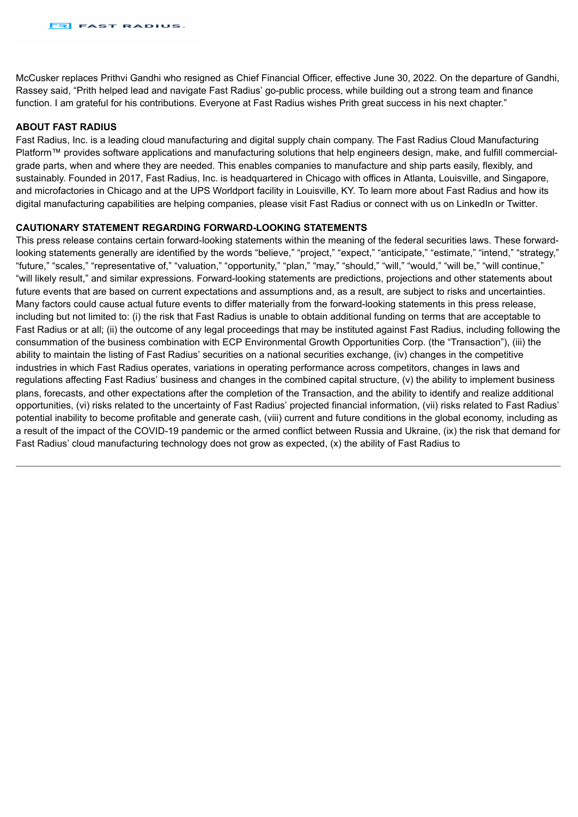McCusker replaces Prithvi Gandhi who resigned as Chief Financial Officer, effective June 30, 2022. On the departure of Gandhi, Rassey said, "Prith helped lead and navigate Fast Radius' go-public process, while building out a strong team and finance function. I am grateful for his contributions. Everyone at Fast Radius wishes Prith great success in his next chapter."

#### **ABOUT FAST RADIUS**

Fast Radius, Inc. is a leading cloud manufacturing and digital supply chain company. The Fast Radius Cloud Manufacturing Platform™ provides software applications and manufacturing solutions that help engineers design, make, and fulfill commercialgrade parts, when and where they are needed. This enables companies to manufacture and ship parts easily, flexibly, and sustainably. Founded in 2017, Fast Radius, Inc. is headquartered in Chicago with offices in Atlanta, Louisville, and Singapore, and microfactories in Chicago and at the UPS Worldport facility in Louisville, KY. To learn more about Fast Radius and how its digital manufacturing capabilities are helping companies, please visit Fast Radius or connect with us on LinkedIn or Twitter.

#### **CAUTIONARY STATEMENT REGARDING FORWARD-LOOKING STATEMENTS**

This press release contains certain forward-looking statements within the meaning of the federal securities laws. These forwardlooking statements generally are identified by the words "believe." "project." "expect." "anticipate." "estimate." "intend." "strategy." "future," "scales," "representative of," "valuation," "opportunity," "plan," "may," "should," "will," "would," "will be," "will continue," "will likely result," and similar expressions. Forward-looking statements are predictions, projections and other statements about future events that are based on current expectations and assumptions and, as a result, are subject to risks and uncertainties. Many factors could cause actual future events to differ materially from the forward-looking statements in this press release, including but not limited to: (i) the risk that Fast Radius is unable to obtain additional funding on terms that are acceptable to Fast Radius or at all; (ii) the outcome of any legal proceedings that may be instituted against Fast Radius, including following the consummation of the business combination with ECP Environmental Growth Opportunities Corp. (the "Transaction"), (iii) the ability to maintain the listing of Fast Radius' securities on a national securities exchange, (iv) changes in the competitive industries in which Fast Radius operates, variations in operating performance across competitors, changes in laws and regulations affecting Fast Radius' business and changes in the combined capital structure, (v) the ability to implement business plans, forecasts, and other expectations after the completion of the Transaction, and the ability to identify and realize additional opportunities, (vi) risks related to the uncertainty of Fast Radius' projected financial information, (vii) risks related to Fast Radius' potential inability to become profitable and generate cash, (viii) current and future conditions in the global economy, including as a result of the impact of the COVID-19 pandemic or the armed conflict between Russia and Ukraine, (ix) the risk that demand for Fast Radius' cloud manufacturing technology does not grow as expected, (x) the ability of Fast Radius to